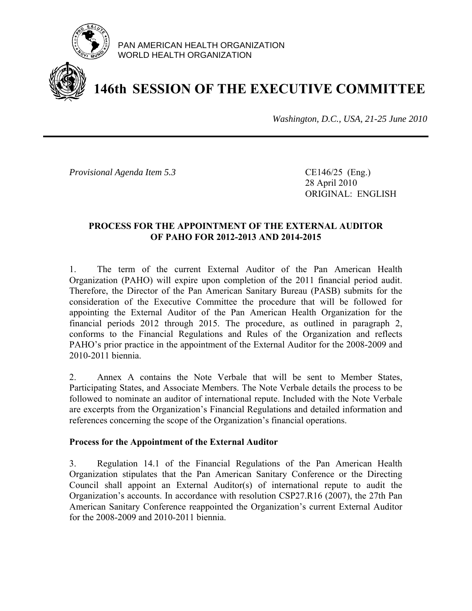

PAN AMERICAN HEALTH ORGANIZATION WORLD HEALTH ORGANIZATION

# **146th SESSION OF THE EXECUTIVE COMMITTEE**

*Washington, D.C., USA, 21-25 June 2010*

*Provisional Agenda Item 5.3* CE146/25 (Eng.)

 28 April 2010 ORIGINAL: ENGLISH

# **PROCESS FOR THE APPOINTMENT OF THE EXTERNAL AUDITOR OF PAHO FOR 2012-2013 AND 2014-2015**

1. The term of the current External Auditor of the Pan American Health Organization (PAHO) will expire upon completion of the 2011 financial period audit. Therefore, the Director of the Pan American Sanitary Bureau (PASB) submits for the consideration of the Executive Committee the procedure that will be followed for appointing the External Auditor of the Pan American Health Organization for the financial periods 2012 through 2015. The procedure, as outlined in paragraph 2, conforms to the Financial Regulations and Rules of the Organization and reflects PAHO's prior practice in the appointment of the External Auditor for the 2008-2009 and 2010-2011 biennia.

2. Annex A contains the Note Verbale that will be sent to Member States, Participating States, and Associate Members. The Note Verbale details the process to be followed to nominate an auditor of international repute. Included with the Note Verbale are excerpts from the Organization's Financial Regulations and detailed information and references concerning the scope of the Organization's financial operations.

# **Process for the Appointment of the External Auditor**

3. Regulation 14.1 of the Financial Regulations of the Pan American Health Organization stipulates that the Pan American Sanitary Conference or the Directing Council shall appoint an External Auditor(s) of international repute to audit the Organization's accounts. In accordance with resolution CSP27.R16 (2007), the 27th Pan American Sanitary Conference reappointed the Organization's current External Auditor for the 2008-2009 and 2010-2011 biennia.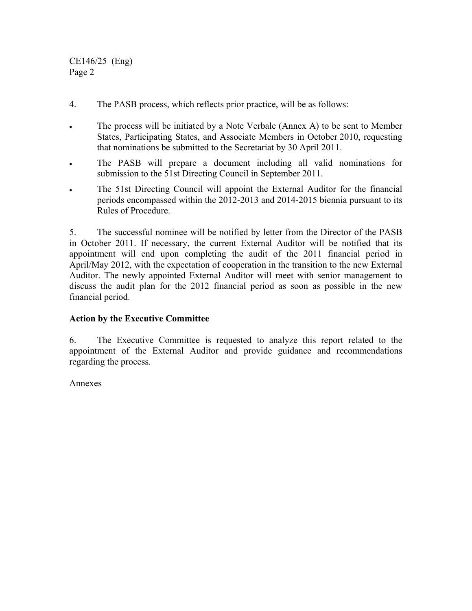CE146/25 (Eng) Page 2

- 4. The PASB process, which reflects prior practice, will be as follows:
- The process will be initiated by a Note Verbale (Annex A) to be sent to Member States, Participating States, and Associate Members in October 2010, requesting that nominations be submitted to the Secretariat by 30 April 2011.
- The PASB will prepare a document including all valid nominations for submission to the 51st Directing Council in September 2011.
- The 51st Directing Council will appoint the External Auditor for the financial periods encompassed within the 2012-2013 and 2014-2015 biennia pursuant to its Rules of Procedure.

5. The successful nominee will be notified by letter from the Director of the PASB in October 2011. If necessary, the current External Auditor will be notified that its appointment will end upon completing the audit of the 2011 financial period in April/May 2012, with the expectation of cooperation in the transition to the new External Auditor. The newly appointed External Auditor will meet with senior management to discuss the audit plan for the 2012 financial period as soon as possible in the new financial period.

# **Action by the Executive Committee**

6. The Executive Committee is requested to analyze this report related to the appointment of the External Auditor and provide guidance and recommendations regarding the process.

Annexes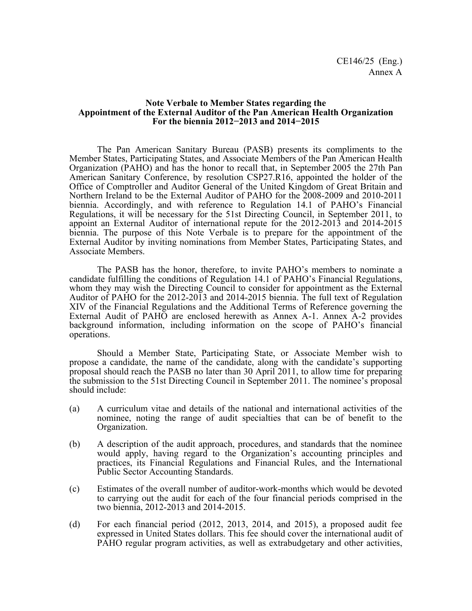#### **Note Verbale to Member States regarding the Appointment of the External Auditor of the Pan American Health Organization For the biennia 2012−2013 and 2014−2015**

The Pan American Sanitary Bureau (PASB) presents its compliments to the Member States, Participating States, and Associate Members of the Pan American Health Organization (PAHO) and has the honor to recall that, in September 2005 the 27th Pan American Sanitary Conference, by resolution CSP27.R16, appointed the holder of the Office of Comptroller and Auditor General of the United Kingdom of Great Britain and Northern Ireland to be the External Auditor of PAHO for the 2008-2009 and 2010-2011 biennia. Accordingly, and with reference to Regulation 14.1 of PAHO's Financial Regulations, it will be necessary for the 51st Directing Council, in September 2011, to appoint an External Auditor of international repute for the 2012-2013 and 2014-2015 biennia. The purpose of this Note Verbale is to prepare for the appointment of the External Auditor by inviting nominations from Member States, Participating States, and Associate Members.

The PASB has the honor, therefore, to invite PAHO's members to nominate a candidate fulfilling the conditions of Regulation 14.1 of PAHO's Financial Regulations, whom they may wish the Directing Council to consider for appointment as the External Auditor of PAHO for the 2012-2013 and 2014-2015 biennia. The full text of Regulation XIV of the Financial Regulations and the Additional Terms of Reference governing the External Audit of PAHO are enclosed herewith as Annex A-1. Annex A-2 provides background information, including information on the scope of PAHO's financial operations.

Should a Member State, Participating State, or Associate Member wish to propose a candidate, the name of the candidate, along with the candidate's supporting proposal should reach the PASB no later than 30 April 2011, to allow time for preparing the submission to the 51st Directing Council in September 2011. The nominee's proposal should include:

- (a) A curriculum vitae and details of the national and international activities of the nominee, noting the range of audit specialties that can be of benefit to the Organization.
- (b) A description of the audit approach, procedures, and standards that the nominee would apply, having regard to the Organization's accounting principles and practices, its Financial Regulations and Financial Rules, and the International Public Sector Accounting Standards.
- (c) Estimates of the overall number of auditor-work-months which would be devoted to carrying out the audit for each of the four financial periods comprised in the two biennia, 2012-2013 and 2014-2015.
- (d) For each financial period (2012, 2013, 2014, and 2015), a proposed audit fee expressed in United States dollars. This fee should cover the international audit of PAHO regular program activities, as well as extrabudgetary and other activities,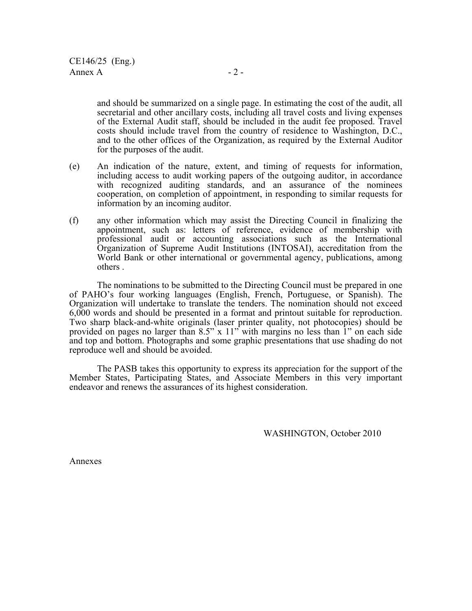and should be summarized on a single page. In estimating the cost of the audit, all secretarial and other ancillary costs, including all travel costs and living expenses of the External Audit staff, should be included in the audit fee proposed. Travel costs should include travel from the country of residence to Washington, D.C., and to the other offices of the Organization, as required by the External Auditor for the purposes of the audit.

- (e) An indication of the nature, extent, and timing of requests for information, including access to audit working papers of the outgoing auditor, in accordance with recognized auditing standards, and an assurance of the nominees cooperation, on completion of appointment, in responding to similar requests for information by an incoming auditor.
- (f) any other information which may assist the Directing Council in finalizing the appointment, such as: letters of reference, evidence of membership with professional audit or accounting associations such as the International Organization of Supreme Audit Institutions (INTOSAI), accreditation from the World Bank or other international or governmental agency, publications, among others .

The nominations to be submitted to the Directing Council must be prepared in one of PAHO's four working languages (English, French, Portuguese, or Spanish). The Organization will undertake to translate the tenders. The nomination should not exceed 6,000 words and should be presented in a format and printout suitable for reproduction. Two sharp black-and-white originals (laser printer quality, not photocopies) should be provided on pages no larger than  $8.5$ " x  $11$ " with margins no less than 1" on each side and top and bottom. Photographs and some graphic presentations that use shading do not reproduce well and should be avoided.

The PASB takes this opportunity to express its appreciation for the support of the Member States, Participating States, and Associate Members in this very important endeavor and renews the assurances of its highest consideration.

WASHINGTON, October 2010

Annexes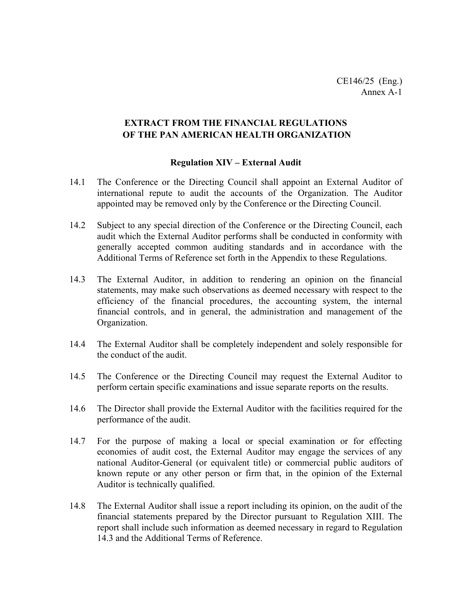# **EXTRACT FROM THE FINANCIAL REGULATIONS OF THE PAN AMERICAN HEALTH ORGANIZATION**

#### **Regulation XIV – External Audit**

- 14.1 The Conference or the Directing Council shall appoint an External Auditor of international repute to audit the accounts of the Organization. The Auditor appointed may be removed only by the Conference or the Directing Council.
- 14.2 Subject to any special direction of the Conference or the Directing Council, each audit which the External Auditor performs shall be conducted in conformity with generally accepted common auditing standards and in accordance with the Additional Terms of Reference set forth in the Appendix to these Regulations.
- 14.3 The External Auditor, in addition to rendering an opinion on the financial statements, may make such observations as deemed necessary with respect to the efficiency of the financial procedures, the accounting system, the internal financial controls, and in general, the administration and management of the Organization.
- 14.4 The External Auditor shall be completely independent and solely responsible for the conduct of the audit.
- 14.5 The Conference or the Directing Council may request the External Auditor to perform certain specific examinations and issue separate reports on the results.
- 14.6 The Director shall provide the External Auditor with the facilities required for the performance of the audit.
- 14.7 For the purpose of making a local or special examination or for effecting economies of audit cost, the External Auditor may engage the services of any national Auditor-General (or equivalent title) or commercial public auditors of known repute or any other person or firm that, in the opinion of the External Auditor is technically qualified.
- 14.8 The External Auditor shall issue a report including its opinion, on the audit of the financial statements prepared by the Director pursuant to Regulation XIII. The report shall include such information as deemed necessary in regard to Regulation 14.3 and the Additional Terms of Reference.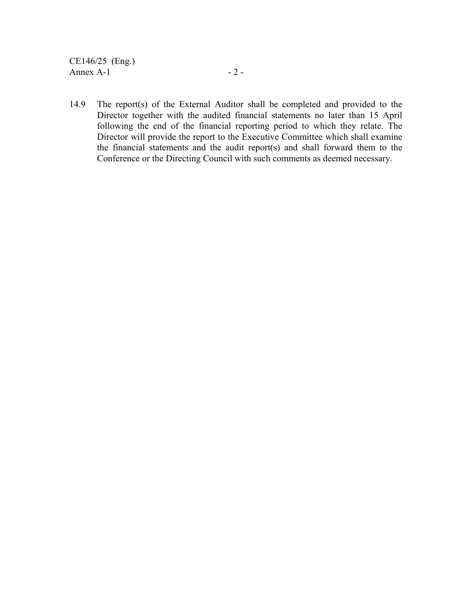CE146/25 (Eng.) Annex  $A-1$  - 2 -

14.9 The report(s) of the External Auditor shall be completed and provided to the Director together with the audited financial statements no later than 15 April following the end of the financial reporting period to which they relate. The Director will provide the report to the Executive Committee which shall examine the financial statements and the audit report(s) and shall forward them to the Conference or the Directing Council with such comments as deemed necessary.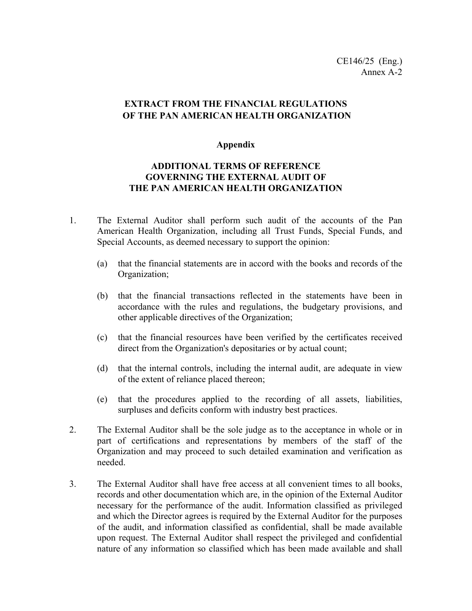# **EXTRACT FROM THE FINANCIAL REGULATIONS OF THE PAN AMERICAN HEALTH ORGANIZATION**

#### **Appendix**

# **ADDITIONAL TERMS OF REFERENCE GOVERNING THE EXTERNAL AUDIT OF THE PAN AMERICAN HEALTH ORGANIZATION**

- 1. The External Auditor shall perform such audit of the accounts of the Pan American Health Organization, including all Trust Funds, Special Funds, and Special Accounts, as deemed necessary to support the opinion:
	- (a) that the financial statements are in accord with the books and records of the Organization;
	- (b) that the financial transactions reflected in the statements have been in accordance with the rules and regulations, the budgetary provisions, and other applicable directives of the Organization;
	- (c) that the financial resources have been verified by the certificates received direct from the Organization's depositaries or by actual count;
	- (d) that the internal controls, including the internal audit, are adequate in view of the extent of reliance placed thereon;
	- (e) that the procedures applied to the recording of all assets, liabilities, surpluses and deficits conform with industry best practices.
- 2. The External Auditor shall be the sole judge as to the acceptance in whole or in part of certifications and representations by members of the staff of the Organization and may proceed to such detailed examination and verification as needed.
- 3. The External Auditor shall have free access at all convenient times to all books, records and other documentation which are, in the opinion of the External Auditor necessary for the performance of the audit. Information classified as privileged and which the Director agrees is required by the External Auditor for the purposes of the audit, and information classified as confidential, shall be made available upon request. The External Auditor shall respect the privileged and confidential nature of any information so classified which has been made available and shall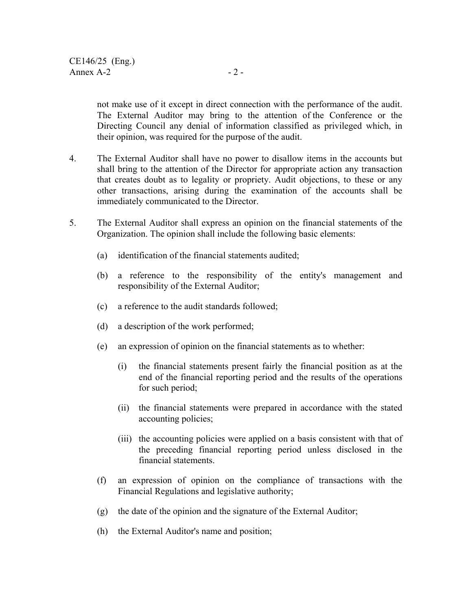not make use of it except in direct connection with the performance of the audit. The External Auditor may bring to the attention of the Conference or the Directing Council any denial of information classified as privileged which, in their opinion, was required for the purpose of the audit.

- 4. The External Auditor shall have no power to disallow items in the accounts but shall bring to the attention of the Director for appropriate action any transaction that creates doubt as to legality or propriety. Audit objections, to these or any other transactions, arising during the examination of the accounts shall be immediately communicated to the Director.
- 5. The External Auditor shall express an opinion on the financial statements of the Organization. The opinion shall include the following basic elements:
	- (a) identification of the financial statements audited;
	- (b) a reference to the responsibility of the entity's management and responsibility of the External Auditor;
	- (c) a reference to the audit standards followed;
	- (d) a description of the work performed;
	- (e) an expression of opinion on the financial statements as to whether:
		- (i) the financial statements present fairly the financial position as at the end of the financial reporting period and the results of the operations for such period;
		- (ii) the financial statements were prepared in accordance with the stated accounting policies;
		- (iii) the accounting policies were applied on a basis consistent with that of the preceding financial reporting period unless disclosed in the financial statements.
	- (f) an expression of opinion on the compliance of transactions with the Financial Regulations and legislative authority;
	- (g) the date of the opinion and the signature of the External Auditor;
	- (h) the External Auditor's name and position;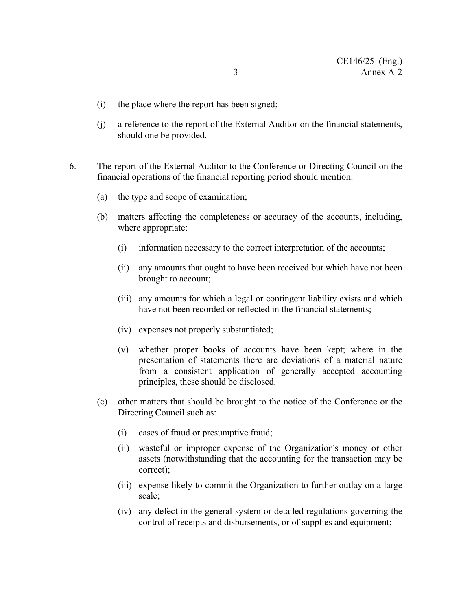- (i) the place where the report has been signed;
- (j) a reference to the report of the External Auditor on the financial statements, should one be provided.
- 6. The report of the External Auditor to the Conference or Directing Council on the financial operations of the financial reporting period should mention:
	- (a) the type and scope of examination;
	- (b) matters affecting the completeness or accuracy of the accounts, including, where appropriate:
		- (i) information necessary to the correct interpretation of the accounts;
		- (ii) any amounts that ought to have been received but which have not been brought to account;
		- (iii) any amounts for which a legal or contingent liability exists and which have not been recorded or reflected in the financial statements;
		- (iv) expenses not properly substantiated;
		- (v) whether proper books of accounts have been kept; where in the presentation of statements there are deviations of a material nature from a consistent application of generally accepted accounting principles, these should be disclosed.
	- (c) other matters that should be brought to the notice of the Conference or the Directing Council such as:
		- (i) cases of fraud or presumptive fraud;
		- (ii) wasteful or improper expense of the Organization's money or other assets (notwithstanding that the accounting for the transaction may be correct);
		- (iii) expense likely to commit the Organization to further outlay on a large scale;
		- (iv) any defect in the general system or detailed regulations governing the control of receipts and disbursements, or of supplies and equipment;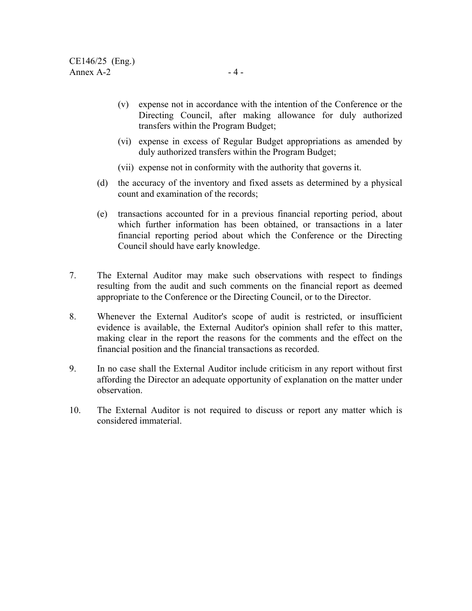- (v) expense not in accordance with the intention of the Conference or the Directing Council, after making allowance for duly authorized transfers within the Program Budget;
- (vi) expense in excess of Regular Budget appropriations as amended by duly authorized transfers within the Program Budget;
- (vii) expense not in conformity with the authority that governs it.
- (d) the accuracy of the inventory and fixed assets as determined by a physical count and examination of the records;
- (e) transactions accounted for in a previous financial reporting period, about which further information has been obtained, or transactions in a later financial reporting period about which the Conference or the Directing Council should have early knowledge.
- 7. The External Auditor may make such observations with respect to findings resulting from the audit and such comments on the financial report as deemed appropriate to the Conference or the Directing Council, or to the Director.
- 8. Whenever the External Auditor's scope of audit is restricted, or insufficient evidence is available, the External Auditor's opinion shall refer to this matter, making clear in the report the reasons for the comments and the effect on the financial position and the financial transactions as recorded.
- 9. In no case shall the External Auditor include criticism in any report without first affording the Director an adequate opportunity of explanation on the matter under observation.
- 10. The External Auditor is not required to discuss or report any matter which is considered immaterial.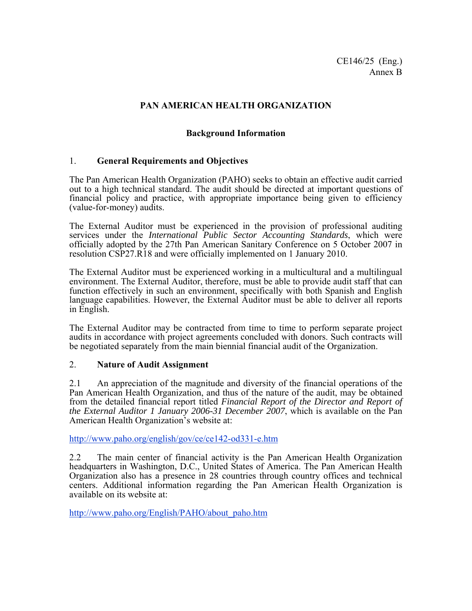# **PAN AMERICAN HEALTH ORGANIZATION**

# **Background Information**

### 1. **General Requirements and Objectives**

The Pan American Health Organization (PAHO) seeks to obtain an effective audit carried out to a high technical standard. The audit should be directed at important questions of financial policy and practice, with appropriate importance being given to efficiency (value-for-money) audits.

The External Auditor must be experienced in the provision of professional auditing services under the *International Public Sector Accounting Standards*, which were officially adopted by the 27th Pan American Sanitary Conference on 5 October 2007 in resolution CSP27.R18 and were officially implemented on 1 January 2010.

The External Auditor must be experienced working in a multicultural and a multilingual environment. The External Auditor, therefore, must be able to provide audit staff that can function effectively in such an environment, specifically with both Spanish and English language capabilities. However, the External Auditor must be able to deliver all reports in English.

The External Auditor may be contracted from time to time to perform separate project audits in accordance with project agreements concluded with donors. Such contracts will be negotiated separately from the main biennial financial audit of the Organization.

#### 2. **Nature of Audit Assignment**

2.1 An appreciation of the magnitude and diversity of the financial operations of the Pan American Health Organization, and thus of the nature of the audit, may be obtained from the detailed financial report titled *Financial Report of the Director and Report of the External Auditor 1 January 2006-31 December 2007*, which is available on the Pan American Health Organization's website at:

http://www.paho.org/english/gov/ce/ce142-od331-e.htm

2.2 The main center of financial activity is the Pan American Health Organization headquarters in Washington, D.C., United States of America. The Pan American Health Organization also has a presence in 28 countries through country offices and technical centers. Additional information regarding the Pan American Health Organization is available on its website at:

http://www.paho.org/English/PAHO/about\_paho.htm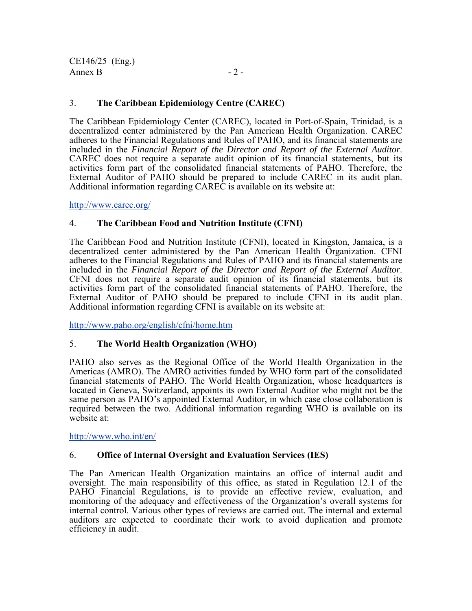CE146/25 (Eng.) Annex B  $-2$  -

# 3. **The Caribbean Epidemiology Centre (CAREC)**

The Caribbean Epidemiology Center (CAREC), located in Port-of-Spain, Trinidad, is a decentralized center administered by the Pan American Health Organization. CAREC adheres to the Financial Regulations and Rules of PAHO, and its financial statements are included in the *Financial Report of the Director and Report of the External Auditor*. CAREC does not require a separate audit opinion of its financial statements, but its activities form part of the consolidated financial statements of PAHO. Therefore, the External Auditor of PAHO should be prepared to include CAREC in its audit plan. Additional information regarding CAREC is available on its website at:

http://www.carec.org/

### 4. **The Caribbean Food and Nutrition Institute (CFNI)**

The Caribbean Food and Nutrition Institute (CFNI), located in Kingston, Jamaica, is a decentralized center administered by the Pan American Health Organization. CFNI adheres to the Financial Regulations and Rules of PAHO and its financial statements are included in the *Financial Report of the Director and Report of the External Auditor*. CFNI does not require a separate audit opinion of its financial statements, but its activities form part of the consolidated financial statements of PAHO. Therefore, the External Auditor of PAHO should be prepared to include CFNI in its audit plan. Additional information regarding CFNI is available on its website at:

http://www.paho.org/english/cfni/home.htm

### 5. **The World Health Organization (WHO)**

PAHO also serves as the Regional Office of the World Health Organization in the Americas (AMRO). The AMRO activities funded by WHO form part of the consolidated financial statements of PAHO. The World Health Organization, whose headquarters is located in Geneva, Switzerland, appoints its own External Auditor who might not be the same person as PAHO's appointed External Auditor, in which case close collaboration is required between the two. Additional information regarding WHO is available on its website at:

http://www.who.int/en/

### 6. **Office of Internal Oversight and Evaluation Services (IES)**

The Pan American Health Organization maintains an office of internal audit and oversight. The main responsibility of this office, as stated in Regulation 12.1 of the PAHO Financial Regulations, is to provide an effective review, evaluation, and monitoring of the adequacy and effectiveness of the Organization's overall systems for internal control. Various other types of reviews are carried out. The internal and external auditors are expected to coordinate their work to avoid duplication and promote efficiency in audit.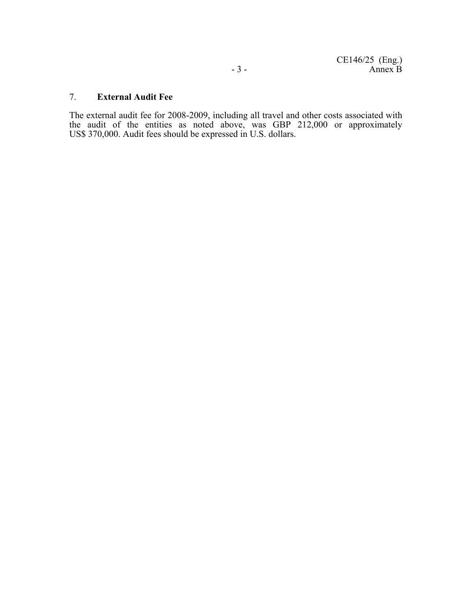#### 7. **External Audit Fee**

The external audit fee for 2008-2009, including all travel and other costs associated with the audit of the entities as noted above, was GBP 212,000 or approximately US\$ 370,000. Audit fees should be expressed in U.S. dollars.